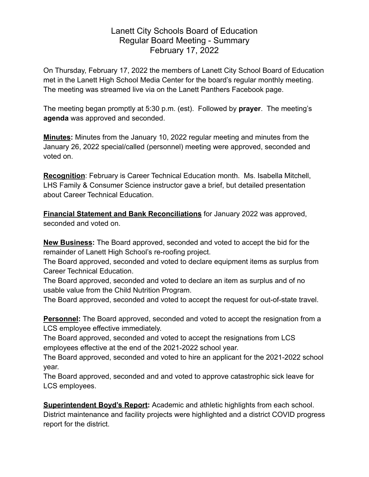## Lanett City Schools Board of Education Regular Board Meeting - Summary February 17, 2022

On Thursday, February 17, 2022 the members of Lanett City School Board of Education met in the Lanett High School Media Center for the board's regular monthly meeting. The meeting was streamed live via on the Lanett Panthers Facebook page.

The meeting began promptly at 5:30 p.m. (est). Followed by **prayer**. The meeting's **agenda** was approved and seconded.

**Minutes:** Minutes from the January 10, 2022 regular meeting and minutes from the January 26, 2022 special/called (personnel) meeting were approved, seconded and voted on.

**Recognition**: February is Career Technical Education month. Ms. Isabella Mitchell, LHS Family & Consumer Science instructor gave a brief, but detailed presentation about Career Technical Education.

**Financial Statement and Bank Reconciliations** for January 2022 was approved, seconded and voted on.

**New Business:** The Board approved, seconded and voted to accept the bid for the remainder of Lanett High School's re-roofing project.

The Board approved, seconded and voted to declare equipment items as surplus from Career Technical Education.

The Board approved, seconded and voted to declare an item as surplus and of no usable value from the Child Nutrition Program.

The Board approved, seconded and voted to accept the request for out-of-state travel.

**Personnel:** The Board approved, seconded and voted to accept the resignation from a LCS employee effective immediately.

The Board approved, seconded and voted to accept the resignations from LCS employees effective at the end of the 2021-2022 school year.

The Board approved, seconded and voted to hire an applicant for the 2021-2022 school year.

The Board approved, seconded and and voted to approve catastrophic sick leave for LCS employees.

**Superintendent Boyd's Report:** Academic and athletic highlights from each school. District maintenance and facility projects were highlighted and a district COVID progress report for the district.